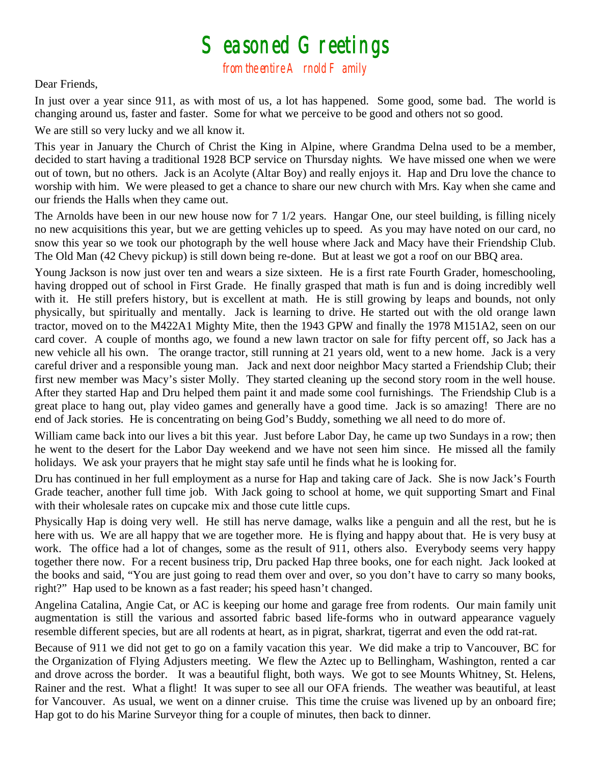## $S$ easoned Greetings<br>from the entire A rnold F amily

## Dear Friends,

In just over a year since 911, as with most of us, a lot has happened. Some good, some bad. The world is changing around us, faster and faster. Some for what we perceive to be good and others not so good.

We are still so very lucky and we all know it.

This year in January the Church of Christ the King in Alpine, where Grandma Delna used to be a member, decided to start having a traditional 1928 BCP service on Thursday nights. We have missed one when we were out of town, but no others. Jack is an Acolyte (Altar Boy) and really enjoys it. Hap and Dru love the chance to worship with him. We were pleased to get a chance to share our new church with Mrs. Kay when she came and our friends the Halls when they came out.

The Arnolds have been in our new house now for 7 1/2 years. Hangar One, our steel building, is filling nicely no new acquisitions this year, but we are getting vehicles up to speed. As you may have noted on our card, no snow this year so we took our photograph by the well house where Jack and Macy have their Friendship Club. The Old Man (42 Chevy pickup) is still down being re-done. But at least we got a roof on our BBQ area.

Young Jackson is now just over ten and wears a size sixteen. He is a first rate Fourth Grader, homeschooling, having dropped out of school in First Grade. He finally grasped that math is fun and is doing incredibly well with it. He still prefers history, but is excellent at math. He is still growing by leaps and bounds, not only physically, but spiritually and mentally. Jack is learning to drive. He started out with the old orange lawn tractor, moved on to the M422A1 Mighty Mite, then the 1943 GPW and finally the 1978 M151A2, seen on our card cover. A couple of months ago, we found a new lawn tractor on sale for fifty percent off, so Jack has a new vehicle all his own. The orange tractor, still running at 21 years old, went to a new home. Jack is a very careful driver and a responsible young man. Jack and next door neighbor Macy started a Friendship Club; their first new member was Macy's sister Molly. They started cleaning up the second story room in the well house. After they started Hap and Dru helped them paint it and made some cool furnishings. The Friendship Club is a great place to hang out, play video games and generally have a good time. Jack is so amazing! There are no end of Jack stories. He is concentrating on being God's Buddy, something we all need to do more of.

William came back into our lives a bit this year. Just before Labor Day, he came up two Sundays in a row; then he went to the desert for the Labor Day weekend and we have not seen him since. He missed all the family holidays. We ask your prayers that he might stay safe until he finds what he is looking for.

Dru has continued in her full employment as a nurse for Hap and taking care of Jack. She is now Jack's Fourth Grade teacher, another full time job. With Jack going to school at home, we quit supporting Smart and Final with their wholesale rates on cupcake mix and those cute little cups.

Physically Hap is doing very well. He still has nerve damage, walks like a penguin and all the rest, but he is here with us. We are all happy that we are together more. He is flying and happy about that. He is very busy at work. The office had a lot of changes, some as the result of 911, others also. Everybody seems very happy together there now. For a recent business trip, Dru packed Hap three books, one for each night. Jack looked at the books and said, "You are just going to read them over and over, so you don't have to carry so many books, right?" Hap used to be known as a fast reader; his speed hasn't changed.

Angelina Catalina, Angie Cat, or AC is keeping our home and garage free from rodents. Our main family unit augmentation is still the various and assorted fabric based life-forms who in outward appearance vaguely resemble different species, but are all rodents at heart, as in pigrat, sharkrat, tigerrat and even the odd rat-rat.

Because of 911 we did not get to go on a family vacation this year. We did make a trip to Vancouver, BC for the Organization of Flying Adjusters meeting. We flew the Aztec up to Bellingham, Washington, rented a car and drove across the border. It was a beautiful flight, both ways. We got to see Mounts Whitney, St. Helens, Rainer and the rest. What a flight! It was super to see all our OFA friends. The weather was beautiful, at least for Vancouver. As usual, we went on a dinner cruise. This time the cruise was livened up by an onboard fire; Hap got to do his Marine Surveyor thing for a couple of minutes, then back to dinner.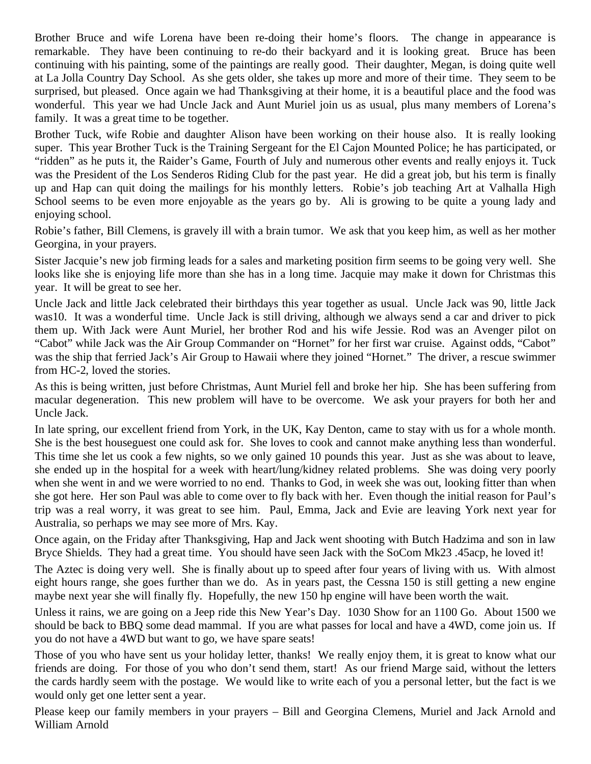Brother Bruce and wife Lorena have been re-doing their home's floors. The change in appearance is remarkable. They have been continuing to re-do their backyard and it is looking great. Bruce has been continuing with his painting, some of the paintings are really good. Their daughter, Megan, is doing quite well at La Jolla Country Day School. As she gets older, she takes up more and more of their time. They seem to be surprised, but pleased. Once again we had Thanksgiving at their home, it is a beautiful place and the food was wonderful. This year we had Uncle Jack and Aunt Muriel join us as usual, plus many members of Lorena's family. It was a great time to be together.

Brother Tuck, wife Robie and daughter Alison have been working on their house also. It is really looking super. This year Brother Tuck is the Training Sergeant for the El Cajon Mounted Police; he has participated, or "ridden" as he puts it, the Raider's Game, Fourth of July and numerous other events and really enjoys it. Tuck was the President of the Los Senderos Riding Club for the past year. He did a great job, but his term is finally up and Hap can quit doing the mailings for his monthly letters. Robie's job teaching Art at Valhalla High School seems to be even more enjoyable as the years go by. Ali is growing to be quite a young lady and enjoying school.

Robie's father, Bill Clemens, is gravely ill with a brain tumor. We ask that you keep him, as well as her mother Georgina, in your prayers.

Sister Jacquie's new job firming leads for a sales and marketing position firm seems to be going very well. She looks like she is enjoying life more than she has in a long time. Jacquie may make it down for Christmas this year. It will be great to see her.

Uncle Jack and little Jack celebrated their birthdays this year together as usual. Uncle Jack was 90, little Jack was10. It was a wonderful time. Uncle Jack is still driving, although we always send a car and driver to pick them up. With Jack were Aunt Muriel, her brother Rod and his wife Jessie. Rod was an Avenger pilot on "Cabot" while Jack was the Air Group Commander on "Hornet" for her first war cruise. Against odds, "Cabot" was the ship that ferried Jack's Air Group to Hawaii where they joined "Hornet." The driver, a rescue swimmer from HC-2, loved the stories.

As this is being written, just before Christmas, Aunt Muriel fell and broke her hip. She has been suffering from macular degeneration. This new problem will have to be overcome. We ask your prayers for both her and Uncle Jack.

In late spring, our excellent friend from York, in the UK, Kay Denton, came to stay with us for a whole month. She is the best houseguest one could ask for. She loves to cook and cannot make anything less than wonderful. This time she let us cook a few nights, so we only gained 10 pounds this year. Just as she was about to leave, she ended up in the hospital for a week with heart/lung/kidney related problems. She was doing very poorly when she went in and we were worried to no end. Thanks to God, in week she was out, looking fitter than when she got here. Her son Paul was able to come over to fly back with her. Even though the initial reason for Paul's trip was a real worry, it was great to see him. Paul, Emma, Jack and Evie are leaving York next year for Australia, so perhaps we may see more of Mrs. Kay.

Once again, on the Friday after Thanksgiving, Hap and Jack went shooting with Butch Hadzima and son in law Bryce Shields. They had a great time. You should have seen Jack with the SoCom Mk23 .45acp, he loved it!

The Aztec is doing very well. She is finally about up to speed after four years of living with us. With almost eight hours range, she goes further than we do. As in years past, the Cessna 150 is still getting a new engine maybe next year she will finally fly. Hopefully, the new 150 hp engine will have been worth the wait.

Unless it rains, we are going on a Jeep ride this New Year's Day. 1030 Show for an 1100 Go. About 1500 we should be back to BBQ some dead mammal. If you are what passes for local and have a 4WD, come join us. If you do not have a 4WD but want to go, we have spare seats!

Those of you who have sent us your holiday letter, thanks! We really enjoy them, it is great to know what our friends are doing. For those of you who don't send them, start! As our friend Marge said, without the letters the cards hardly seem with the postage. We would like to write each of you a personal letter, but the fact is we would only get one letter sent a year.

Please keep our family members in your prayers – Bill and Georgina Clemens, Muriel and Jack Arnold and William Arnold